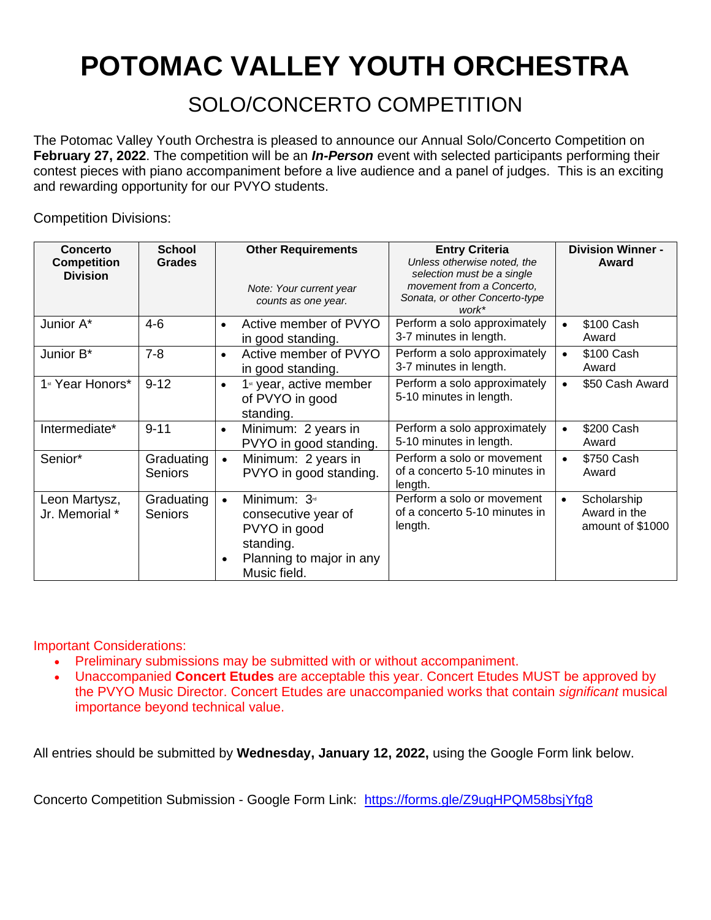## **POTOMAC VALLEY YOUTH ORCHESTRA**

SOLO/CONCERTO COMPETITION

The Potomac Valley Youth Orchestra is pleased to announce our Annual Solo/Concerto Competition on **February 27, 2022**. The competition will be an *In-Person* event with selected participants performing their contest pieces with piano accompaniment before a live audience and a panel of judges. This is an exciting and rewarding opportunity for our PVYO students.

Competition Divisions:

| Concerto<br><b>Competition</b><br><b>Division</b> | <b>School</b><br><b>Grades</b> | <b>Other Requirements</b><br>Note: Your current year<br>counts as one year.                                                                        | <b>Entry Criteria</b><br>Unless otherwise noted, the<br>selection must be a single<br>movement from a Concerto,<br>Sonata, or other Concerto-type<br>work* | <b>Division Winner -</b><br>Award                            |
|---------------------------------------------------|--------------------------------|----------------------------------------------------------------------------------------------------------------------------------------------------|------------------------------------------------------------------------------------------------------------------------------------------------------------|--------------------------------------------------------------|
| Junior A*                                         | $4-6$                          | Active member of PVYO<br>$\bullet$<br>in good standing.                                                                                            | Perform a solo approximately<br>3-7 minutes in length.                                                                                                     | \$100 Cash<br>$\bullet$<br>Award                             |
| Junior B*                                         | $7 - 8$                        | Active member of PVYO<br>$\bullet$<br>in good standing.                                                                                            | Perform a solo approximately<br>3-7 minutes in length.                                                                                                     | \$100 Cash<br>Award                                          |
| 1 <sup>st</sup> Year Honors*                      | $9 - 12$                       | 1 <sup>st</sup> year, active member<br>$\bullet$<br>of PVYO in good<br>standing.                                                                   | Perform a solo approximately<br>5-10 minutes in length.                                                                                                    | \$50 Cash Award                                              |
| Intermediate*                                     | $9 - 11$                       | Minimum: 2 years in<br>$\bullet$<br>PVYO in good standing.                                                                                         | Perform a solo approximately<br>5-10 minutes in length.                                                                                                    | \$200 Cash<br>Award                                          |
| Senior*                                           | Graduating<br><b>Seniors</b>   | Minimum: 2 years in<br>$\bullet$<br>PVYO in good standing.                                                                                         | Perform a solo or movement<br>of a concerto 5-10 minutes in<br>length.                                                                                     | \$750 Cash<br>Award                                          |
| Leon Martysz,<br>Jr. Memorial *                   | Graduating<br><b>Seniors</b>   | Minimum: 3 <sup>rd</sup><br>$\bullet$<br>consecutive year of<br>PVYO in good<br>standing.<br>Planning to major in any<br>$\bullet$<br>Music field. | Perform a solo or movement<br>of a concerto 5-10 minutes in<br>length.                                                                                     | Scholarship<br>$\bullet$<br>Award in the<br>amount of \$1000 |

Important Considerations:

- Preliminary submissions may be submitted with or without accompaniment.
- Unaccompanied **Concert Etudes** are acceptable this year. Concert Etudes MUST be approved by the PVYO Music Director. Concert Etudes are unaccompanied works that contain *significant* musical importance beyond technical value.

All entries should be submitted by **Wednesday, January 12, 2022,** using the Google Form link below.

Concerto Competition Submission - Google Form Link: <https://forms.gle/Z9ugHPQM58bsjYfg8>